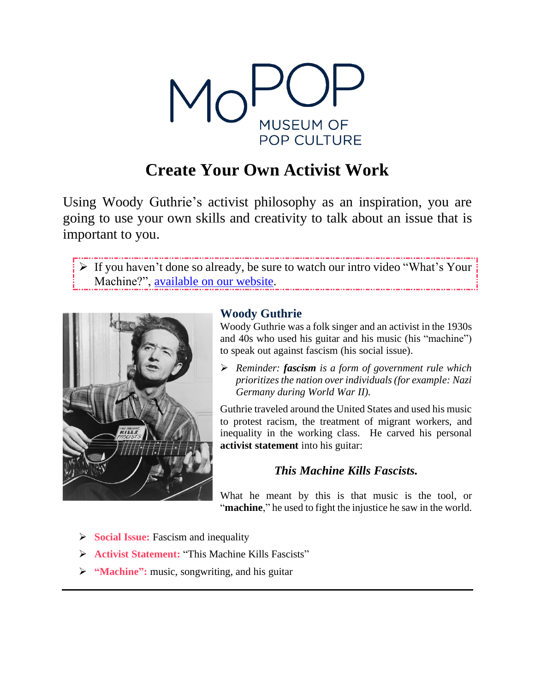

# **Create Your Own Activist Work**

Using Woody Guthrie's activist philosophy as an inspiration, you are going to use your own skills and creativity to talk about an issue that is important to you.

➢ If you haven't done so already, be sure to watch our intro video "What's Your Machine?", [available](https://www.mopop.org/programs-plus-education/education/online-educational-resources/) on our website. 



# **Woody Guthrie**

Woody Guthrie was a folk singer and an activist in the 1930s and 40s who used his guitar and his music (his "machine") to speak out against fascism (his social issue).

➢ *Reminder: fascism is a form of government rule which prioritizesthe nation overindividuals (for example: Nazi Germany during World War II).*

Guthrie traveled around the United States and used his music to protest racism, the treatment of migrant workers, and inequality in the working class. He carved his personal **activist statement** into his guitar:

# *This Machine Kills Fascists.*

What he meant by this is that music is the tool, or "machine," he used to fight the injustice he saw in the world.

- ➢ **Social Issue:** Fascism and inequality
- ➢ **Activist Statement:** "This Machine Kills Fascists"
- ➢ **"Machine":** music, songwriting, and his guitar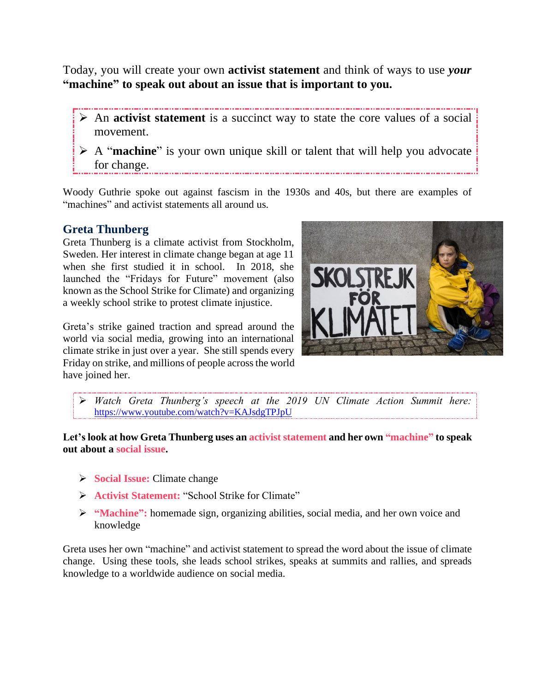Today, you will create your own **activist statement** and think of ways to use *your* **"machine" to speak out about an issue that is important to you.**

- ➢ An **activist statement** is a succinct way to state the core values of a social movement.
- ➢ A "**machine**" is your own unique skill or talent that will help you advocate for change.

Woody Guthrie spoke out against fascism in the 1930s and 40s, but there are examples of "machines" and activist statements all around us.

# **Greta Thunberg**

Greta Thunberg is a climate activist from Stockholm, Sweden. Her interest in climate change began at age 11 when she first studied it in school. In 2018, she launched the "Fridays for Future" movement (also known as the School Strike for Climate) and organizing a weekly school strike to protest climate injustice.

Greta's strike gained traction and spread around the world via social media, growing into an international climate strike in just over a year. She still spends every Friday on strike, and millions of people across the world have joined her.



➢ *Watch Greta Thunberg's speech at the 2019 UN Climate Action Summit here:*  <https://www.youtube.com/watch?v=KAJsdgTPJpU>

**Let's look at how Greta Thunberg uses an activist statement and her own "machine" to speak out about a social issue.**

- ➢ **Social Issue:** Climate change
- ➢ **Activist Statement:** "School Strike for Climate"
- ➢ **"Machine":** homemade sign, organizing abilities, social media, and her own voice and knowledge

Greta uses her own "machine" and activist statement to spread the word about the issue of climate change. Using these tools, she leads school strikes, speaks at summits and rallies, and spreads knowledge to a worldwide audience on social media.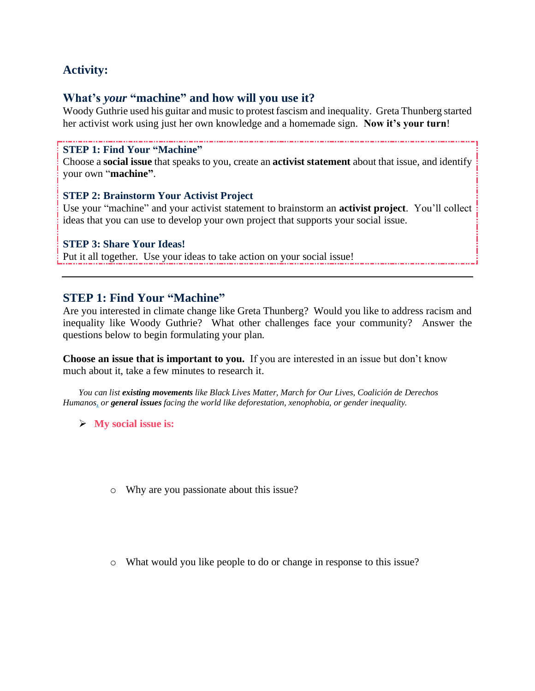# **Activity:**

# **What's** *your* **"machine" and how will you use it?**

Woody Guthrie used his guitar and music to protest fascism and inequality. Greta Thunberg started her activist work using just her own knowledge and a homemade sign. **Now it's your turn**!

### **STEP 1: Find Your "Machine"**

Choose a **social issue** that speaks to you, create an **activist statement** about that issue, and identify your own "**machine"**.

### **STEP 2: Brainstorm Your Activist Project**

Use your "machine" and your activist statement to brainstorm an **activist project**. You'll collect ideas that you can use to develop your own project that supports your social issue.

### **STEP 3: Share Your Ideas!**

Put it all together. Use your ideas to take action on your social issue!

### **STEP 1: Find Your "Machine"**

Are you interested in climate change like Greta Thunberg? Would you like to address racism and inequality like Woody Guthrie? What other challenges face your community? Answer the questions below to begin formulating your plan.

**Choose an issue that is important to you.** If you are interested in an issue but don't know much about it, take a few minutes to research it.

*You can list existing movements like Black Lives Matter, March for Our Lives, Coalición de Derechos Humanos, or general issues facing the world like deforestation, xenophobia, or gender inequality.*

➢ **My social issue is:**

- o Why are you passionate about this issue?
- o What would you like people to do or change in response to this issue?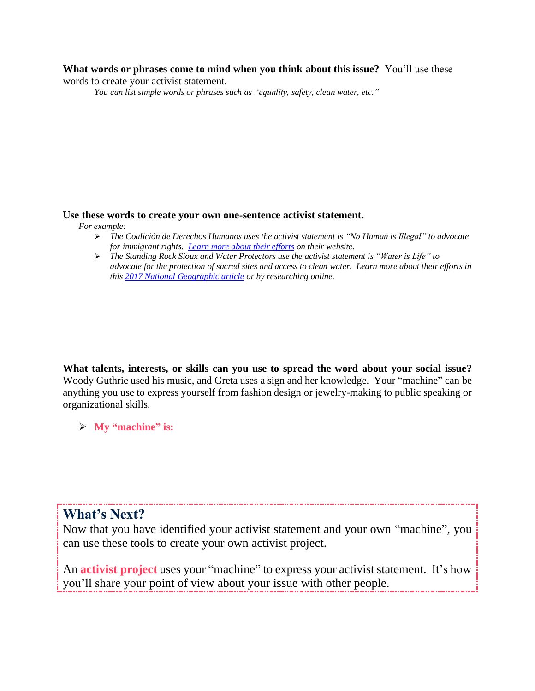#### **What words or phrases come to mind when you think about this issue?** You'll use these words to create your activist statement.

*You can list simple words or phrases such as "equality, safety, clean water, etc."*

#### **Use these words to create your own one-sentence activist statement.**

*For example:*

- ➢ *The Coalición de Derechos Humanos uses the activist statement is "No Human is Illegal" to advocate for immigrant rights. [Learn more about their efforts](https://derechoshumanosaz.net/) on their website.*
- ➢ *The Standing Rock Sioux and Water Protectors use the activist statement is "Water is Life" to advocate for the protection of sacred sites and access to clean water. Learn more about their efforts in this [2017 National Geographic article](https://www.nationalgeographic.com/news/2017/01/tribes-standing-rock-dakota-access-pipeline-advancement/#close) or by researching online.*

**What talents, interests, or skills can you use to spread the word about your social issue?** Woody Guthrie used his music, and Greta uses a sign and her knowledge. Your "machine" can be anything you use to express yourself from fashion design or jewelry-making to public speaking or organizational skills.

➢ **My "machine" is:**

# **What's Next?**

Now that you have identified your activist statement and your own "machine", you can use these tools to create your own activist project.

An **activist project** uses your "machine" to express your activist statement. It's how you'll share your point of view about your issue with other people.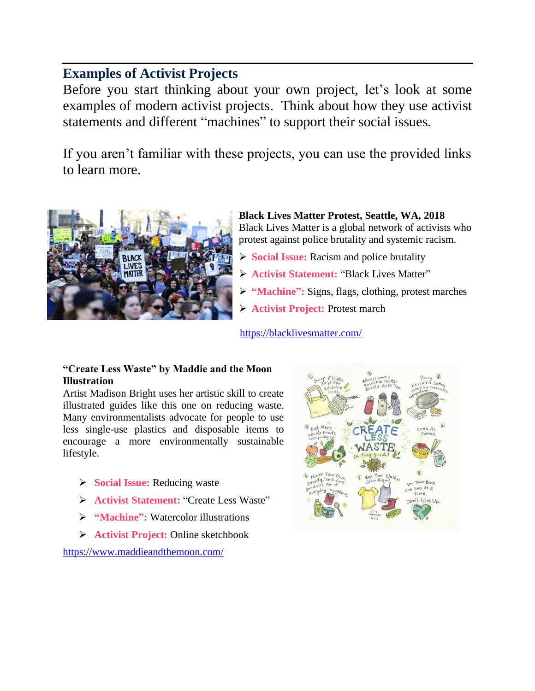# **Examples of Activist Projects**

Before you start thinking about your own project, let's look at some examples of modern activist projects. Think about how they use activist statements and different "machines" to support their social issues.

If you aren't familiar with these projects, you can use the provided links to learn more.



**Black Lives Matter Protest, Seattle, WA, 2018** Black Lives Matter is a global network of activists who protest against police brutality and systemic racism.

- ➢ **Social Issue:** Racism and police brutality
- ➢ **Activist Statement:** "Black Lives Matter"
- ➢ **"Machine":** Signs, flags, clothing, protest marches
- ➢ **Activist Project:** Protest march

<https://blacklivesmatter.com/>

### **"Create Less Waste" by Maddie and the Moon Illustration**

Artist Madison Bright uses her artistic skill to create illustrated guides like this one on reducing waste. Many environmentalists advocate for people to use less single-use plastics and disposable items to encourage a more environmentally sustainable lifestyle.

- ➢ **Social Issue:** Reducing waste
- ➢ **Activist Statement:** "Create Less Waste"
- ➢ **"Machine":** Watercolor illustrations
- ➢ **Activist Project:** Online sketchbook

<https://www.maddieandthemoon.com/>

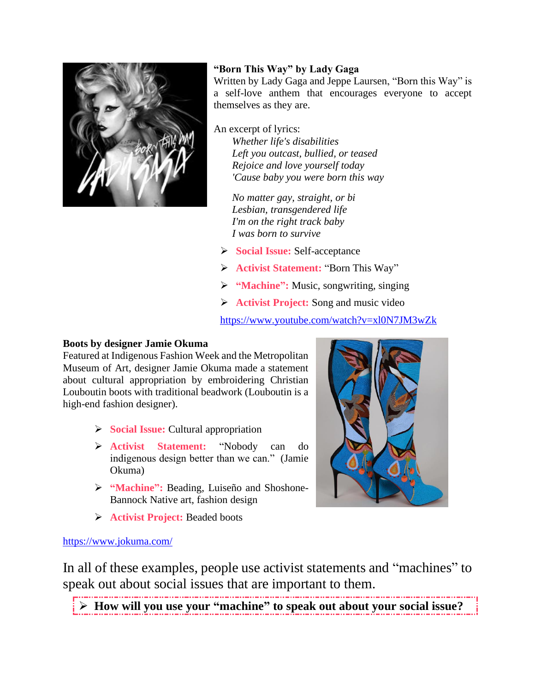

# **"Born This Way" by Lady Gaga**

Written by Lady Gaga and Jeppe Laursen, "Born this Way" is a self-love anthem that encourages everyone to accept themselves as they are.

An excerpt of lyrics:

*Whether life's disabilities Left you outcast, bullied, or teased Rejoice and love yourself today 'Cause baby you were born this way*

*No matter gay, straight, or bi Lesbian, transgendered life I'm on the right track baby I was born to survive*

- ➢ **Social Issue:** Self-acceptance
- ➢ **Activist Statement:** "Born This Way"
- ➢ **"Machine":** Music, songwriting, singing
- ➢ **Activist Project:** Song and music video

<https://www.youtube.com/watch?v=xl0N7JM3wZk>

### **Boots by designer Jamie Okuma**

Featured at Indigenous Fashion Week and the Metropolitan Museum of Art, designer Jamie Okuma made a statement about cultural appropriation by embroidering Christian Louboutin boots with traditional beadwork (Louboutin is a high-end fashion designer).

- ➢ **Social Issue:** Cultural appropriation
- ➢ **Activist Statement:** "Nobody can do indigenous design better than we can." (Jamie Okuma)
- ➢ **"Machine":** Beading, Luiseño and Shoshone-Bannock Native art, fashion design
- ➢ **Activist Project:** Beaded boots



### <https://www.jokuma.com/>

In all of these examples, people use activist statements and "machines" to speak out about social issues that are important to them.

➢ **How will you use your "machine" to speak out about your social issue?**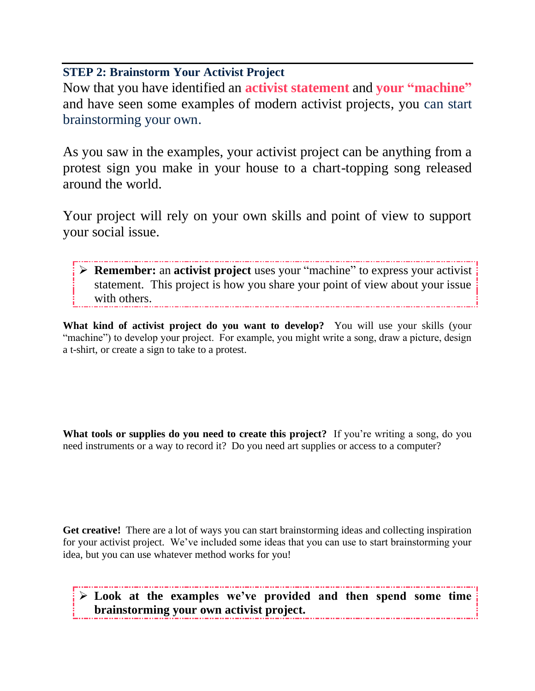# **STEP 2: Brainstorm Your Activist Project**

Now that you have identified an **activist statement** and **your "machine"** and have seen some examples of modern activist projects, you can start brainstorming your own.

As you saw in the examples, your activist project can be anything from a protest sign you make in your house to a chart-topping song released around the world.

Your project will rely on your own skills and point of view to support your social issue.

➢ **Remember:** an **activist project** uses your "machine" to express your activist statement. This project is how you share your point of view about your issue with others.

**What kind of activist project do you want to develop?** You will use your skills (your "machine") to develop your project. For example, you might write a song, draw a picture, design a t-shirt, or create a sign to take to a protest.

**What tools or supplies do you need to create this project?** If you're writing a song, do you need instruments or a way to record it? Do you need art supplies or access to a computer?

**Get creative!** There are a lot of ways you can start brainstorming ideas and collecting inspiration for your activist project. We've included some ideas that you can use to start brainstorming your idea, but you can use whatever method works for you!

➢ **Look at the examples we've provided and then spend some time brainstorming your own activist project.**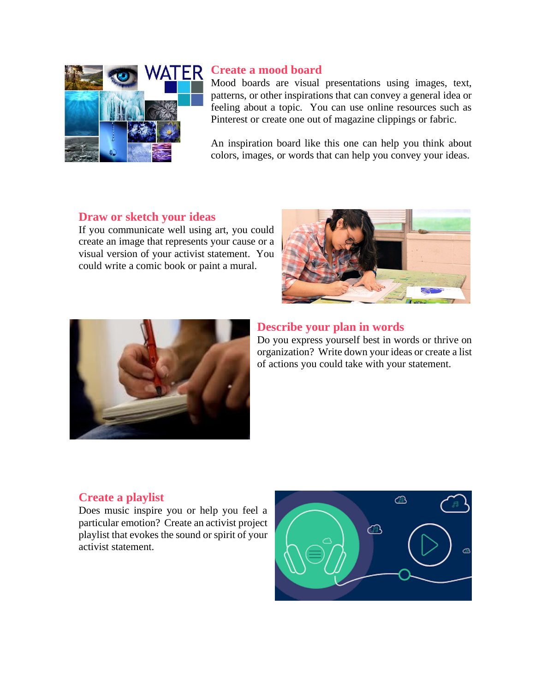

# **Create a mood board**

Mood boards are visual presentations using images, text, patterns, or other inspirations that can convey a general idea or feeling about a topic. You can use online resources such as Pinterest or create one out of magazine clippings or fabric.

An inspiration board like this one can help you think about colors, images, or words that can help you convey your ideas.

### **Draw or sketch your ideas**

If you communicate well using art, you could create an image that represents your cause or a visual version of your activist statement. You could write a comic book or paint a mural.





### **Describe your plan in words**

Do you express yourself best in words or thrive on organization? Write down your ideas or create a list of actions you could take with your statement.

### **Create a playlist**

Does music inspire you or help you feel a particular emotion? Create an activist project playlist that evokes the sound or spirit of your activist statement.

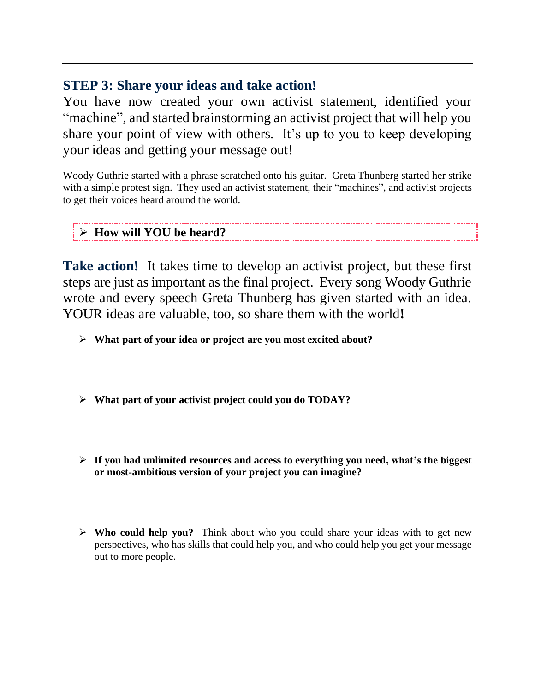# **STEP 3: Share your ideas and take action!**

You have now created your own activist statement, identified your "machine", and started brainstorming an activist project that will help you share your point of view with others. It's up to you to keep developing your ideas and getting your message out!

Woody Guthrie started with a phrase scratched onto his guitar. Greta Thunberg started her strike with a simple protest sign. They used an activist statement, their "machines", and activist projects to get their voices heard around the world.

### ➢ **How will YOU be heard?**

**Take action!** It takes time to develop an activist project, but these first steps are just as important as the final project. Every song Woody Guthrie wrote and every speech Greta Thunberg has given started with an idea. YOUR ideas are valuable, too, so share them with the world**!** 

- ➢ **What part of your idea or project are you most excited about?**
- ➢ **What part of your activist project could you do TODAY?**
- ➢ **If you had unlimited resources and access to everything you need, what's the biggest or most-ambitious version of your project you can imagine?**
- ➢ **Who could help you?** Think about who you could share your ideas with to get new perspectives, who has skills that could help you, and who could help you get your message out to more people.